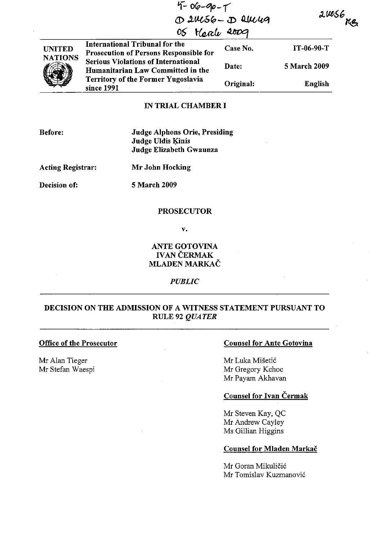|                                 | $4 - 06 - 90 - 7$<br>05 Herely 2009                                                                                                        | 1 2Mc56 - D Skelley | $20056$ KB   |  |
|---------------------------------|--------------------------------------------------------------------------------------------------------------------------------------------|---------------------|--------------|--|
| <b>UNITED</b><br><b>NATIONS</b> | <b>International Tribunal for the</b><br>Prosecution of Persons Responsible for                                                            | Case No.            | IT-06-90-T   |  |
|                                 | <b>Serious Violations of International</b><br>Humanitarian Law Committed in the<br><b>Territory of the Former Yugoslavia</b><br>since 1991 | Date:               | 5 March 2009 |  |
|                                 |                                                                                                                                            | Original:           | English      |  |

# IN TRIAL CHAMBER I

| Before: | <b>Judge Alphons Orie, Presiding</b> |
|---------|--------------------------------------|
|         | Judge Uldis Kinis                    |
|         | Judge Elizabeth Gwaunza              |

Acting Registrar:

Mr John Hocking

Decision of:

5 March 2009

## **PROSECUTOR**

v.

### ANTE GOTOVINA **IVAN ČERMAK** MLADEN MARKAČ

*PUBLIC*

## DECISION ON THE ADMISSION OF A WITNESS STATEMENT PURSUANT TO RULE 92 *QUATER*

#### Office of the Prosecutor

Mr Alan Tieger Mr Stefan Waespi

### Counsel for Ante Gotovina

Mr Luka Misetic Mr Gregory Kehoe Mr Payam Akhavan

# Counsel for Ivan Cermak

Mr Steven Kay, QC Mr Andrew Cayley Ms Gillian Higgins

### Counsel for Mladen Markač

Mr Goran Mikuličić Mr Tomislav Kuzmanovic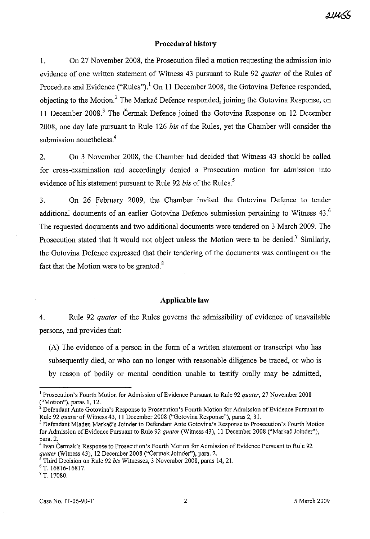#### **Procedural history**

**I.** On 27 November 2008, the Prosecution filed a motion requesting the admission into evidence of one written statement of Witness 43 pursuant to Rule 92 *quater* of the Rules of Procedure and Evidence ("Rules").<sup>1</sup> On 11 December 2008, the Gotovina Defence responded, objecting to the Motion.<sup>2</sup> The Markac Defence responded, joining the Gotovina Response, on 11 December 2008.<sup>3</sup> The Čermak Defence joined the Gotovina Response on 12 December 2008, one day late pursuant to Rule 126 *bis* of the Rules, yet the Chamber will consider the submission nonetheless.<sup>4</sup>

2. On 3 November 2008, the Chamber had decided that Witness 43 should be called for cross-examination and accordingly denied a Prosecution motion for admission into evidence of his statement pursuant to Rule 92 *bis* of the Rules.<sup>5</sup>

3. On 26 February 2009, the Chamber invited the Gotovina Defence to tender additional documents of an earlier Gotovina Defence submission pertaining to Witness 43.<sup>6</sup> The requested documents and two additional documents were tendered on 3 March 2009. The Prosecution stated that it would not object unless the Motion were to be denied.<sup>7</sup> Similarly, the Gotovina Defence expressed that their tendering of the documents was contingent on the fact that the Motion were to be granted. $8$ 

#### **Applicable law**

4. Rule 92 *quater* of the Rules governs the admissibility of evidence of unavailable persons, and provides that:

(A) The evidence of a person in the form of a written statement or transcript who has subsequently died, or who can no longer with reasonable diligence be traced, or who is by reason of bodily or mental condition unable to testify orally may be admitted,

<sup>&</sup>lt;sup>1</sup> Prosecution's Fourth Motion for Admission of Evidence Pursuant to Rule 92 *quater*, 27 November 2008 ("Motion"), paras **I,** 12.

 $2^{2}$  Defendant Ante Gotovina's Response to Prosecution's Fourth Motion for Admission of Evidence Pursuant to Rule 92 *quater* of Witness 43, **II** December 2008 ("Gotovina Response"), paras 2, 31.

<sup>&</sup>lt;sup>3</sup> Defendant Mladen Markač's Joinder to Defendant Ante Gotovina's Response to Prosecution's Fourth Motion for Admission ofEvidence Pursuant to Rule 92 *quater* (Witness 43), **II** December 2008 ("Markac Joinder"), para. 2.

Ivan Čermak's Response to Prosecution's Fourth Motion for Admission of Evidence Pursuant to Rule 92 *quater* (Witness 43), 12 December 2008 ("Cermak Joinder"), para. 2.

<sup>5</sup> Third Decision on Rule 92 *his* Witnesses, 3 November 2008, paras 14,21.

<sup>6</sup> T. 16816-16817.

 $7$  T. 17080.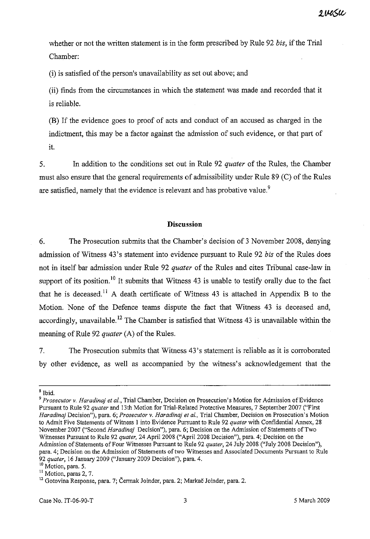whether or not the written statement is in the form prescribed by Rule 92 *bis*, if the Trial Chamber:

(i) is satisfied of the person's unavailability as set out above; and

(ii) finds from the circumstances in which the statement was made and recorded that it is reliable.

(B) If the evidence goes to proof of acts and conduct of an accused as charged in the indictment, this may be a factor against the admission of such evidence, or that part of it.

5. In addition to the conditions set out in Rule 92 *quater* of the Rules, the Chamber must also ensure that the general requirements of admissibility under Rule 89 (C) of the Rules are satisfied, namely that the evidence is relevant and has probative value.<sup>9</sup>

### **Discussion**

6. The Prosecution submits that the Chamber's decision of 3 November 2008, denying admission of Witness 43's statement into evidence pursuant to Rule 92 *bis* of the Rules does not in itself bar admission under Rule 92 *quater* of the Rules and cites Tribunal case-law in support of its position.<sup>10</sup> It submits that Witness  $43$  is unable to testify orally due to the fact that he is deceased.<sup>11</sup> A death certificate of Witness 43 is attached in Appendix B to the Motion. None of the Defence teams dispute the fact that Witness 43 is deceased and, accordingly, unavailable.<sup>12</sup> The Chamber is satisfied that Witness 43 is unavailable within the meaning of Rule 92 *quater* (A) of the Rules.

7. The Prosecution submits that Witness 43's statement is reliable as it is corroborated by other evidence, as well as accompanied by the witness's acknowledgement that the

<sup>8</sup> Ibid.

*<sup>9</sup> Prosecutor v. Haradinaj et ai.,* Trial Chamber, Decision on Prosecution's Motion for Admission of Evidence Pursuant to Rule 92 *quater* and 13th Motion for Trial-Related Protective Measures, 7 September 2007 ("First *Haradinaj* **Decision"), para. 6;** *Prosecutor* **v.** *Haradinaj et al.,* **Trial Chamber, Decision on Prosecution's Motion** to Admit Five Statements of Witness I into Evidence Pursuant to Rule 92 *quater* with Confidential Annex, 28 November 2007 ("Second *Haradinaj* Decision"), para. 6; Decision on the Admission of Statements of Two Witnesses Pursuant to Rule 92 *quater.* 24 April 2008 ("April 2008 Decision"), para. 4; Decision on the Admission of Statements of Four Witnesses Pursuant to Rule 92 *quater*, 24 July 2008 ("July 2008 Decision"), para. 4; Decision on the Admission of Statements oftwo Witnesses and Associated Documents Pursuant to Rule *92 quater,* 16 January 2009 ("January 2009 Decision"), para. 4.

<sup>&</sup>lt;sup>10</sup> Motion, para. 5.

<sup>&</sup>lt;sup>11</sup> Motion, paras 2, 7.

<sup>&</sup>lt;sup>12</sup> Gotovina Response, para. 7; Čermak Joinder, para. 2; Markač Joinder, para. 2.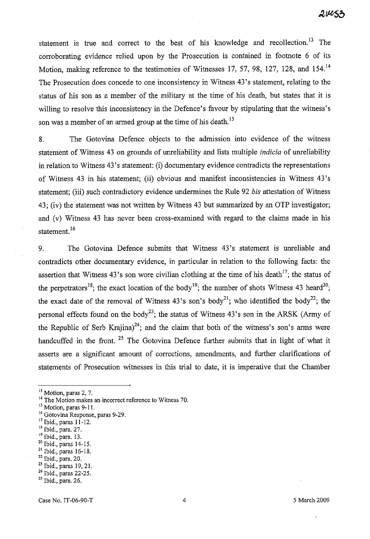statement is true and correct to the best of his knowledge and recollection.<sup>13</sup> The corroborating evidence relied upon by the Prosecution is contained in footnote 6 of its Motion, making reference to the testimonies of Witnesses 17, 57, 98, 127, 128, and 154.<sup>14</sup> The Prosecution does concede to one inconsistency in Witness 43's statement, relating to the status of his son as a member of the military at the time of his death, but states that it is willing to resolve this inconsistency in the Defence's favour by stipulating that the witness's son was a member of an armed group at the time of his death.<sup>15</sup>

8. The Gotovina Defence objects to the admission into evidence of the witness statement of Witness 43 on grounds of unreliability and lists multiple *indicia* of unreliability in relation to Witness 43's statement: (i) documentary evidence contradicts the representations of Witness 43 in his statement; (ii) obvious and manifest inconsistencies in Witness 43's statement; (iii) such contradictory evidence undermines the Rule 92 *bis* attestation of Witness 43; (iv) the statement was not written by Witness 43 but summarized by an OTP investigator; and (v) Witness 43 has never been cross-examined with regard to the claims made in his statement.<sup>16</sup>

9. The Gotovina Defence submits that Witness 43's statement is unreliable and contradicts other documentary evidence, in particular in relation to the following facts: the assertion that Witness 43's son wore civilian clothing at the time of his death<sup>17</sup>; the status of the perpetrators<sup>18</sup>; the exact location of the body<sup>19</sup>; the number of shots Witness 43 heard<sup>20</sup>; the exact date of the removal of Witness  $43's$  son's body<sup>21</sup>; who identified the body<sup>22</sup>; the personal effects found on the body<sup>23</sup>; the status of Witness 43's son in the ARSK (Army of the Republic of Serb Krajina)<sup>24</sup>; and the claim that both of the witness's son's arms were handcuffed in the front.<sup>25</sup> The Gotovina Defence further submits that in light of what it asserts are a significant amount of corrections, amendments, and further clarifications of statements of Prosecution witnesses in this trial to date, it is imperative that the Chamber

**<sup>13</sup> Motion,paras 2, 7.**

<sup>&</sup>lt;sup>14</sup> The Motion makes an incorrect reference to Witness 70.

<sup>&</sup>lt;sup>15</sup> Motion, paras 9-11.

<sup>&</sup>lt;sup>16</sup> Gotovina Response, paras 9-29.

<sup>17</sup> Ibid., paras 11-12.

<sup>18</sup> Ibid., para. 27.

<sup>19</sup> Ibid., para. 13.

<sup>20</sup> Ibid., paras 14-15.

<sup>21</sup> Ibid., paras 16-18.

<sup>22</sup> Ibid., para. 20.

<sup>&</sup>lt;sup>23</sup> Ibid., paras 19, 21.

<sup>&</sup>lt;sup>24</sup> Ibid., paras 22-25.

<sup>25</sup> Ibid., para. 26.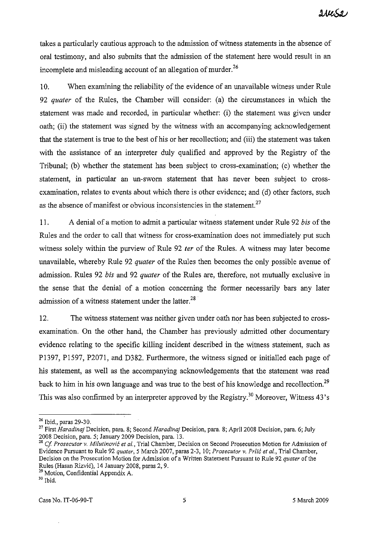takes a particularly cautious approach to the admission of witness statements in the absence of oral testimony, and also submits that the admission of the statement here would result in an incomplete and misleading account of an allegation of murder. $^{26}$ 

10. When examining the reliability of the evidence of an unavailable witness under Rule 92 *quater* of the Rules, the Chamber will consider: (a) the circumstances in which the statement was made and recorded, in particular whether: (i) the statement was given under oath; (ii) the statement was signed by the witness with an accompanying acknowledgement that the statement is true to the best of his or her recollection; and (iii) the statement was taken with the assistance of an interpreter duly qualified and approved by the Registry of the Tribunal; (b) whether the statement has been subject to cross-examination; (c) whether the statement, in particular an un-sworn statement that has never been subject to crossexamination, relates to events about which there is other evidence; and (d) other factors, such as the absence of manifest or obvious inconsistencies in the statement.<sup>27</sup>

11. A denial of a motion to admit a particular witness statement under Rule 92 *bis* of the Rules and the order to call that witness for cross-examination does not immediately put such witness solely within the purview of Rule 92 *ter* of the Rules. A witness may later become unavailable, whereby Rule 92 *quater* of the Rules then becomes the only possible avenue of admission. Rules 92 *bis* and 92 *quater* of the Rules are, therefore, not mutually exclusive in the sense that the denial of a motion concerning the former necessarily bars any later admission of a witness statement under the latter.<sup>28</sup>

12. The witness statement was neither given under oath nor has been subjected to crossexamination. On the other hand, the Chamber has previously admitted other documentary evidence relating to the specific killing incident described in the witness statement, such as P1397, P1597, P2071, and D382. Furthermore, the witness signed or initialled each page of his statement, as well as the accompanying acknowledgements that the statement was read back to him in his own language and was true to the best of his knowledge and recollection.<sup>29</sup> This was also confirmed by an interpreter approved by the Registry.<sup>30</sup> Moreover, Witness  $43$ 's

<sup>26</sup> Ibid., paras 29-30.

<sup>27</sup> First *Haradinaj* Decision, para. 8; Second *Haradinaj* Decision, para. 8: April 2008 Decision, para. 6; July 2008 Decision, para. 5; January 2009 Decision, para. 13.

<sup>28</sup> *Cf Prosecutor v. Milutinovic et al.,* Trial Chamber, Decision on Second Prosecution Motion for Admission of Evidence Pursuant to Rule 92 *quater,* 5 March 2007, paras 2-3, 10; *Prosecutor v. Prlic et al.,* Trial Chamber, Decision on the Prosecution Motion for Admission of a Written Statement Pursuant to Rule 92 *quater* of the Rules (Hasan Rizvic), 14 January 2008, paras 2, 9.

<sup>&</sup>lt;sup>29</sup> Motion, Confidential Appendix A.

 $^{\rm 30}$  Ibid.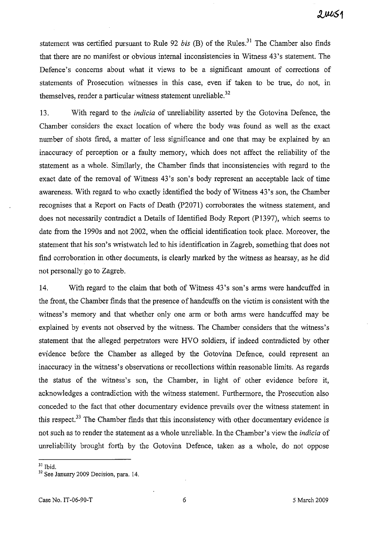statement was certified pursuant to Rule 92 *bis* (B) of the Rules.<sup>31</sup> The Chamber also finds that there are no manifest or obvious internal inconsistencies in Witness 43's statement. The Defence's concerns about what it views to be a significant amount of corrections of statements of Prosecution witnesses in this case, even if taken to be true, do not, in themselves, render a particular witness statement unreliable.<sup>32</sup>

13. With regard to the *indicia* of unreliability asserted by the Gotovina Defence, the Chamber' considers the exact location of where the body was found as well as the exact number of shots fired, a matter of less significance and one that may be explained by an inaccuracy of perception or a faulty memory, which does not affect the reliability of the statement as a whole. Similarly, the Chamber finds that inconsistencies with regard to the exact date of the removal of Witness 43's son's body represent an acceptable lack of time awareness. With regard to who exactly identified the body of Witness 43's son, the Chamber recognises that a Report on Facts of Death (P207l) corroborates the witness statement, and does not necessarily contradict a Details of Identified Body Report (P1397), which seems to date from the 1990s and not 2002, when the official identification took place. Moreover, the statement that his son's wristwatch led to his identification in Zagreb, something that does not find corroboration in other documents, is clearly marked by the witness as hearsay, as he did not personally go to Zagreb.

14. With regard to the claim that both of Witness 43's son's arms were handcuffed in the front, the Chamber finds that the presence of handcuffs on the victim is consistent with the witness's memory and that whether only one arm or both arms were handcuffed may be explained by events not observed by the witness. The Chamber considers that the witness's statement that the alleged perpetrators were HVO soldiers, if indeed contradicted by other evidence before the Chamber as alleged by the Gotovina Defence, could represent an inaccuracy in the witness's observations or recollections within reasonable limits. As regards the status of the witness's son, the Chamber, in light of other evidence before it, acknowledges a contradiction with the witness statement. Furthermore, the Prosecution also conceded to the fact that other documentary evidence prevails over the witness statement in this respect.<sup>33</sup> The Chamber finds that this inconsistency with other documentary evidence is not such as to render the statement as a whole unreliable. In the Chamber's view the *indicia* of unreliability brought forth by the Gotovina Defence, taken as a whole, do not oppose

<sup>31</sup> Ibid.

<sup>&</sup>lt;sup>32</sup> See January 2009 Decision, para. 14.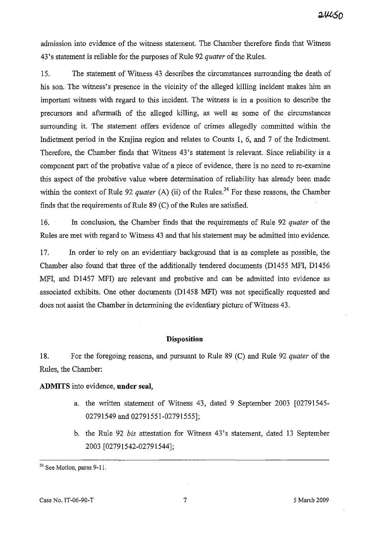admission into evidence of the witness statement. The Chamber therefore finds that Witness 43's statement is reliable for the purposes of Rule 92 *quater* of the Rules.

15. The statement of Witness 43 describes the circumstances surrounding the death of his son. The witness's presence in the vicinity of the alleged killing incident makes him an important witness with regard to this incident. The witness is in a position to describe the precursors and aftermath of the alleged killing, as well as some of the circumstances surrounding it. The statement offers evidence of crimes allegedly committed within the Indictment period in the Krajina region and relates to Counts 1, 6, and 7 of the Indictment. Therefore, the Chamber finds that Witness 43's statement is relevant. Since reliability is a component part of the probative value of a piece of evidence, there is no need to re-examine this aspect of the probative value where determination of reliability has already been made within the context of Rule 92 *quater* (A) (ii) of the Rules.<sup>34</sup> For these reasons, the Chamber finds that the requirements of Rule  $89$  (C) of the Rules are satisfied.

16. In conclusion, the Chamber finds that the requirements of Rule 92 *quater* of the Rules are met with regard to Witness 43 and that his statement may be admitted into evidence.

17. In order to rely on an evidentiary background that is as complete as possible, the Chamber also found that three of the additionally tendered documents (D1455 MFI, D1456 MFI, and D1457 MFI) are relevant and probative and can be admitted into evidence as associated exhibits. One other documents (D1458 MFI) was not specifically requested and does not assist the Chamber in determining the evidentiary picture of Witness 43.

# **Disposition**

18. For the foregoing reasons, and pursuant to Rule 89 (C) and Rule 92 *quater* of the Rules, the Chamber:

**ADMITS** into evidence, **under seal,**

- a. the written statement of Witness 43, dated 9 September 2003 [02791545- 02791549 and 02791551-02791555];
- b. the Rule 92 *bis* attestation for Witness 43's statement, dated 13 September 2003 [02791542-02791544];

<sup>33</sup> See Motion, paras 9-11.